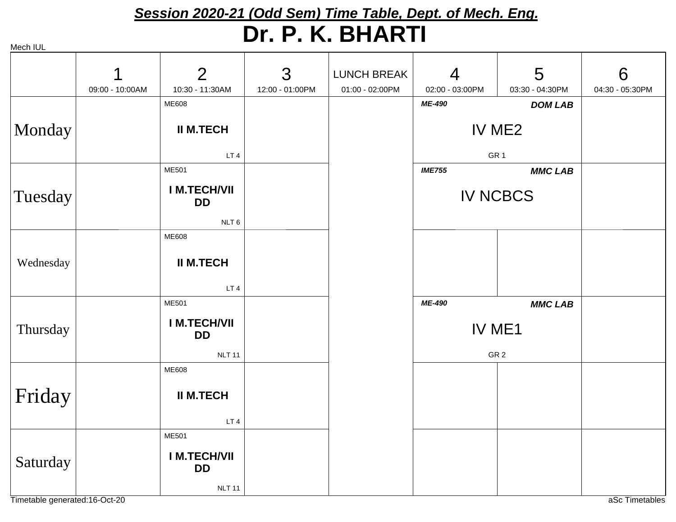# *Session 2020-21 (Odd Sem) Time Table, Dept. of Mech. Eng.* **Dr. P. K. BHARTI**

|           |                 | $\overline{2}$                   | 3               | <b>LUNCH BREAK</b> | $\overline{4}$  | 5               | 6               |
|-----------|-----------------|----------------------------------|-----------------|--------------------|-----------------|-----------------|-----------------|
|           | 09:00 - 10:00AM | 10:30 - 11:30AM                  | 12:00 - 01:00PM | 01:00 - 02:00PM    | 02:00 - 03:00PM | 03:30 - 04:30PM | 04:30 - 05:30PM |
|           |                 | <b>ME608</b>                     |                 |                    | ME-490          | <b>DOM LAB</b>  |                 |
| Monday    |                 | <b>II M.TECH</b>                 |                 |                    |                 | IV ME2          |                 |
|           |                 | LT <sub>4</sub>                  |                 |                    |                 | GR <sub>1</sub> |                 |
|           |                 | <b>ME501</b>                     |                 |                    | <b>IME755</b>   | <b>MMC LAB</b>  |                 |
| Tuesday   |                 | <b>IM.TECH/VII</b><br><b>DD</b>  |                 |                    | <b>IV NCBCS</b> |                 |                 |
|           |                 | NLT <sub>6</sub>                 |                 |                    |                 |                 |                 |
|           |                 | <b>ME608</b>                     |                 |                    |                 |                 |                 |
| Wednesday |                 | <b>II M.TECH</b>                 |                 |                    |                 |                 |                 |
|           |                 | LT <sub>4</sub>                  |                 |                    |                 |                 |                 |
|           |                 | <b>ME501</b>                     |                 |                    | ME-490          | <b>MMC LAB</b>  |                 |
| Thursday  |                 | <b>IM.TECH/VII</b><br><b>DD</b>  |                 |                    | IV ME1          |                 |                 |
|           |                 | <b>NLT 11</b>                    |                 |                    |                 | GR <sub>2</sub> |                 |
|           |                 | <b>ME608</b>                     |                 |                    |                 |                 |                 |
| Friday    |                 | <b>II M.TECH</b>                 |                 |                    |                 |                 |                 |
|           |                 | LT <sub>4</sub>                  |                 |                    |                 |                 |                 |
|           |                 | <b>ME501</b>                     |                 |                    |                 |                 |                 |
| Saturday  |                 | <b>I M.TECH/VII</b><br><b>DD</b> |                 |                    |                 |                 |                 |
|           |                 | <b>NLT 11</b>                    |                 |                    |                 |                 |                 |

Timetable generated:16-Oct-20 and the control of the control of the control of the control of the control of the control of the control of the control of the control of the control of the control of the control of the cont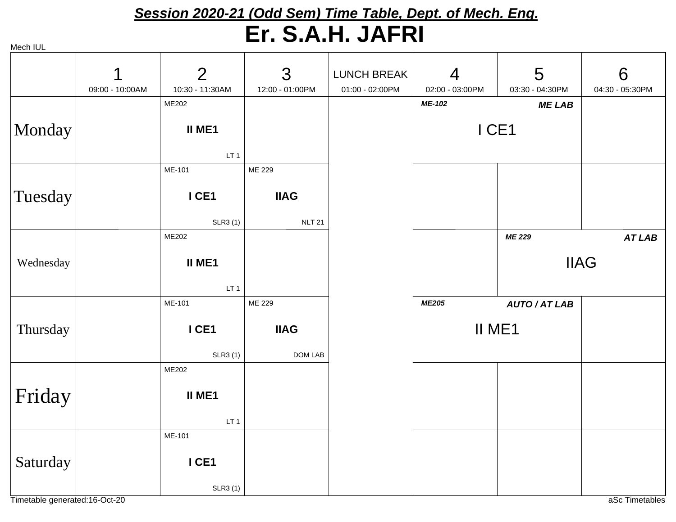#### *Session 2020-21 (Odd Sem) Time Table, Dept. of Mech. Eng.* **Er. S.A.H. JAFRI**

| Mech IUL  |                      |                                           |                              |                                       |                                   |                      |                      |
|-----------|----------------------|-------------------------------------------|------------------------------|---------------------------------------|-----------------------------------|----------------------|----------------------|
|           | 1<br>09:00 - 10:00AM | $\overline{2}$<br>10:30 - 11:30AM         | 3<br>12:00 - 01:00PM         | <b>LUNCH BREAK</b><br>01:00 - 02:00PM | $\overline{4}$<br>02:00 - 03:00PM | 5<br>03:30 - 04:30PM | 6<br>04:30 - 05:30PM |
|           |                      | ME202                                     |                              |                                       | ME-102                            | <b>MELAB</b>         |                      |
| Monday    |                      | <b>II ME1</b><br>LT <sub>1</sub>          |                              |                                       | ICE1                              |                      |                      |
|           |                      | ME-101                                    | ME 229                       |                                       |                                   |                      |                      |
| Tuesday   |                      | I CE1<br><b>SLR3(1)</b>                   | <b>IIAG</b><br><b>NLT 21</b> |                                       |                                   |                      |                      |
|           |                      | ME202                                     |                              |                                       |                                   | <b>ME 229</b>        | <b>AT LAB</b>        |
| Wednesday |                      | <b>II ME1</b><br>LT <sub>1</sub>          |                              |                                       |                                   | <b>IIAG</b>          |                      |
|           |                      | ME-101                                    | ME 229                       |                                       | <b>ME205</b>                      | <b>AUTO/AT LAB</b>   |                      |
| Thursday  |                      | I CE1                                     | <b>IIAG</b>                  |                                       |                                   | II ME1               |                      |
|           |                      | <b>SLR3(1)</b>                            | DOM LAB                      |                                       |                                   |                      |                      |
| Friday    |                      | ME202<br><b>II ME1</b><br>LT <sub>1</sub> |                              |                                       |                                   |                      |                      |
|           |                      | ME-101                                    |                              |                                       |                                   |                      |                      |
| Saturday  |                      | I CE1<br><b>SLR3(1)</b>                   |                              |                                       |                                   |                      |                      |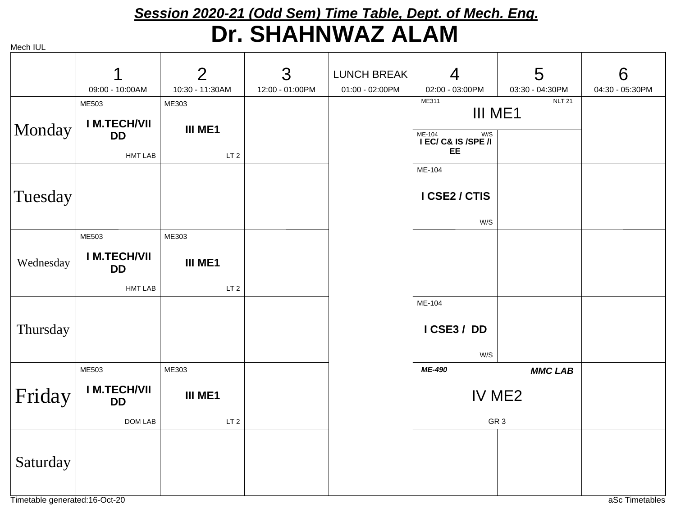## *Session 2020-21 (Odd Sem) Time Table, Dept. of Mech. Eng.* **Dr. SHAHNWAZ ALAM**

Mech IUL **III ME1**ME303LT<sub>2</sub> **I M.TECH/VIIDD**ME503HMT LABIII ME1ME311 NLT 21 **I EC/ C& IS /SPE /I EE**ME-104 W/S **I CSE2 / CTIS** ME-104W/S**III ME1**ME303LT 2**I M.TECH/VIIDD**ME503HMT LAB**I CSE3 / DD**ME-104W/S**III ME1**ME303LT 2 **I M.TECH/VIIDD**ME503DOM LAB IV ME2*ME-490 MMC LAB*GR 3Monday Tuesday Wednesday Thursday Friday Saturday 109:00 - 10:00AM210:30 - 11:30AM 312:00 - 01:00PM LUNCH BREAK01:00 - 02:00PM 402:00 - 03:00PM503:30 - 04:30PM 604:30 - 05:30PM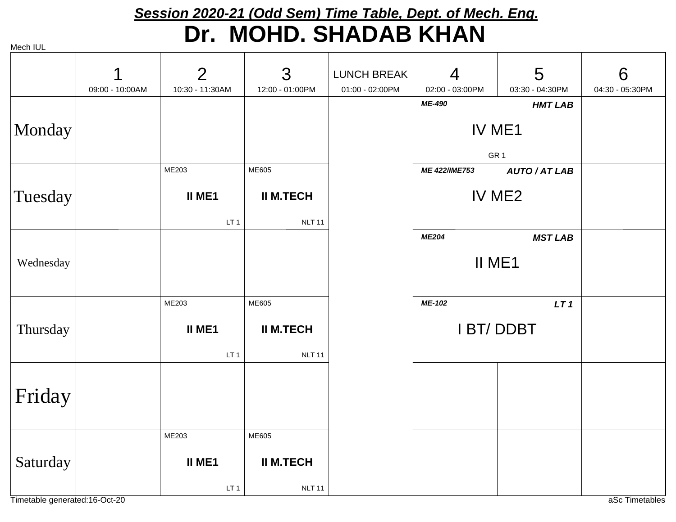# *Session 2020-21 (Odd Sem) Time Table, Dept. of Mech. Eng.* **Dr. MOHD. SHADAB KHAN**

|           | 1               | $\overline{2}$  | 3                | <b>LUNCH BREAK</b> | $\overline{4}$   | 5                  | 6               |
|-----------|-----------------|-----------------|------------------|--------------------|------------------|--------------------|-----------------|
|           | 09:00 - 10:00AM | 10:30 - 11:30AM | 12:00 - 01:00PM  | 01:00 - 02:00PM    | 02:00 - 03:00PM  | 03:30 - 04:30PM    | 04:30 - 05:30PM |
|           |                 |                 |                  |                    | ME-490           | <b>HMT LAB</b>     |                 |
|           |                 |                 |                  |                    |                  |                    |                 |
| Monday    |                 |                 |                  |                    | IV ME1           |                    |                 |
|           |                 |                 |                  |                    |                  |                    |                 |
|           |                 |                 |                  |                    | GR <sub>1</sub>  |                    |                 |
|           |                 | ME203           | ME605            |                    | ME 422/IME753    | <b>AUTO/AT LAB</b> |                 |
|           |                 | II ME1          | <b>II M.TECH</b> |                    | IV ME2           |                    |                 |
| Tuesday   |                 |                 |                  |                    |                  |                    |                 |
|           |                 | LT <sub>1</sub> | <b>NLT 11</b>    |                    |                  |                    |                 |
|           |                 |                 |                  |                    | <b>ME204</b>     | <b>MST LAB</b>     |                 |
|           |                 |                 |                  |                    |                  |                    |                 |
| Wednesday |                 |                 |                  |                    | II ME1           |                    |                 |
|           |                 |                 |                  |                    |                  |                    |                 |
|           |                 |                 | ME605            |                    | ME-102           |                    |                 |
|           |                 | ME203           |                  |                    |                  | LT1                |                 |
| Thursday  |                 | <b>II ME1</b>   | <b>II M.TECH</b> |                    | <b>I BT/DDBT</b> |                    |                 |
|           |                 |                 |                  |                    |                  |                    |                 |
|           |                 | LT <sub>1</sub> | <b>NLT 11</b>    |                    |                  |                    |                 |
|           |                 |                 |                  |                    |                  |                    |                 |
|           |                 |                 |                  |                    |                  |                    |                 |
| Friday    |                 |                 |                  |                    |                  |                    |                 |
|           |                 |                 |                  |                    |                  |                    |                 |
|           |                 | ME203           | ME605            |                    |                  |                    |                 |
|           |                 |                 |                  |                    |                  |                    |                 |
| Saturday  |                 | II ME1          | <b>II M.TECH</b> |                    |                  |                    |                 |
|           |                 |                 |                  |                    |                  |                    |                 |
|           |                 | LT <sub>1</sub> | <b>NLT 11</b>    |                    |                  |                    |                 |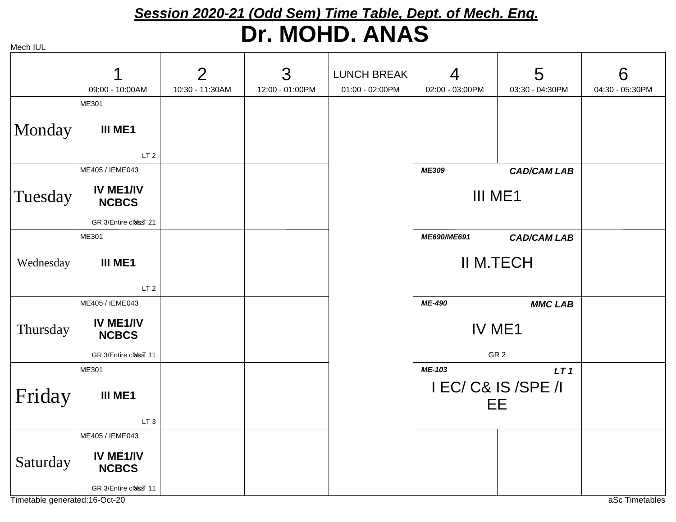# *Session 2020-21 (Odd Sem) Time Table, Dept. of Mech. Eng.* **Dr. MOHD. ANAS**

|           | 09:00 - 10:00AM           | $\overline{2}$<br>10:30 - 11:30AM | 3<br>12:00 - 01:00PM | <b>LUNCH BREAK</b><br>01:00 - 02:00PM | $\overline{4}$<br>02:00 - 03:00PM | 5<br>03:30 - 04:30PM                                | 6<br>04:30 - 05:30PM |
|-----------|---------------------------|-----------------------------------|----------------------|---------------------------------------|-----------------------------------|-----------------------------------------------------|----------------------|
|           | ME301                     |                                   |                      |                                       |                                   |                                                     |                      |
| Monday    | III ME1                   |                                   |                      |                                       |                                   |                                                     |                      |
|           | LT <sub>2</sub>           |                                   |                      |                                       |                                   |                                                     |                      |
|           | ME405 / IEME043           |                                   |                      |                                       | ME309                             | <b>CAD/CAM LAB</b>                                  |                      |
| Tuesday   | IV ME1/IV<br><b>NCBCS</b> |                                   |                      |                                       | III ME1                           |                                                     |                      |
|           | GR 3/Entire class 21      |                                   |                      |                                       |                                   |                                                     |                      |
|           | ME301                     |                                   |                      |                                       | ME690/ME691                       | <b>CAD/CAM LAB</b>                                  |                      |
| Wednesday | III ME1                   |                                   |                      |                                       | <b>II M.TECH</b>                  |                                                     |                      |
|           | LT <sub>2</sub>           |                                   |                      |                                       |                                   |                                                     |                      |
|           | ME405 / IEME043           |                                   |                      |                                       | ME-490                            | <b>MMC LAB</b>                                      |                      |
| Thursday  | IV ME1/IV<br><b>NCBCS</b> |                                   |                      |                                       |                                   | IV ME1                                              |                      |
|           | GR 3/Entire class 11      |                                   |                      |                                       |                                   | GR <sub>2</sub>                                     |                      |
| Friday    | ME301<br>III ME1          |                                   |                      |                                       | ME-103                            | LT <sub>1</sub><br>I EC/ C& IS /SPE /I<br><b>EE</b> |                      |
|           | LT <sub>3</sub>           |                                   |                      |                                       |                                   |                                                     |                      |
|           | ME405 / IEME043           |                                   |                      |                                       |                                   |                                                     |                      |
| Saturday  | IV ME1/IV<br><b>NCBCS</b> |                                   |                      |                                       |                                   |                                                     |                      |
|           | GR 3/Entire class 11      |                                   |                      |                                       |                                   |                                                     |                      |

Timetable generated:16-Oct-20 and the control of the control of the control of the control of the control of the control of the control of the control of the control of the control of the control of the control of the cont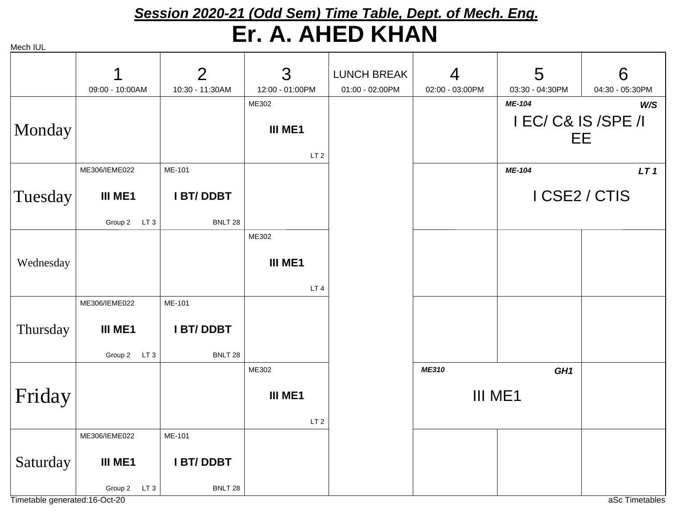## *Session 2020-21 (Odd Sem) Time Table, Dept. of Mech. Eng.* **Er. A. AHED KHAN**

| Mech IUL |  |
|----------|--|

|           |                 | $\overline{2}$   | 3               | <b>LUNCH BREAK</b> | $\overline{4}$  | 5                   | 6               |
|-----------|-----------------|------------------|-----------------|--------------------|-----------------|---------------------|-----------------|
|           | 09:00 - 10:00AM | 10:30 - 11:30AM  | 12:00 - 01:00PM | 01:00 - 02:00PM    | 02:00 - 03:00PM | 03:30 - 04:30PM     | 04:30 - 05:30PM |
|           |                 |                  | ME302           |                    |                 | ME-104              | W/S             |
| Monday    |                 |                  | <b>III ME1</b>  |                    |                 | I EC/ C& IS /SPE /I |                 |
|           |                 |                  |                 |                    |                 |                     | EE.             |
|           |                 |                  | LT <sub>2</sub> |                    |                 |                     |                 |
|           | ME306/IEME022   | ME-101           |                 |                    |                 | ME-104              | LT <sub>1</sub> |
|           |                 |                  |                 |                    |                 |                     |                 |
| Tuesday   | III ME1         | <b>I BT/DDBT</b> |                 |                    |                 |                     | I CSE2 / CTIS   |
|           | Group 2 LT 3    | BNLT 28          |                 |                    |                 |                     |                 |
|           |                 |                  | ME302           |                    |                 |                     |                 |
|           |                 |                  |                 |                    |                 |                     |                 |
| Wednesday |                 |                  | <b>III ME1</b>  |                    |                 |                     |                 |
|           |                 |                  | LT <sub>4</sub> |                    |                 |                     |                 |
|           | ME306/IEME022   | ME-101           |                 |                    |                 |                     |                 |
|           |                 |                  |                 |                    |                 |                     |                 |
| Thursday  | III ME1         | <b>I BT/DDBT</b> |                 |                    |                 |                     |                 |
|           | Group 2 LT 3    | BNLT 28          |                 |                    |                 |                     |                 |
|           |                 |                  | ME302           |                    | ME310           | GH <sub>1</sub>     |                 |
|           |                 |                  |                 |                    |                 |                     |                 |
| Friday    |                 |                  | III ME1         |                    | III ME1         |                     |                 |
|           |                 |                  | LT <sub>2</sub> |                    |                 |                     |                 |
|           | ME306/IEME022   | ME-101           |                 |                    |                 |                     |                 |
|           |                 |                  |                 |                    |                 |                     |                 |
| Saturday  | III ME1         | <b>I BT/DDBT</b> |                 |                    |                 |                     |                 |
|           | Group 2 LT 3    | BNLT 28          |                 |                    |                 |                     |                 |

Timetable generated:16-Oct-20 and the control of the control of the control of the control of the control of the control of the control of the control of the control of the control of the control of the control of the cont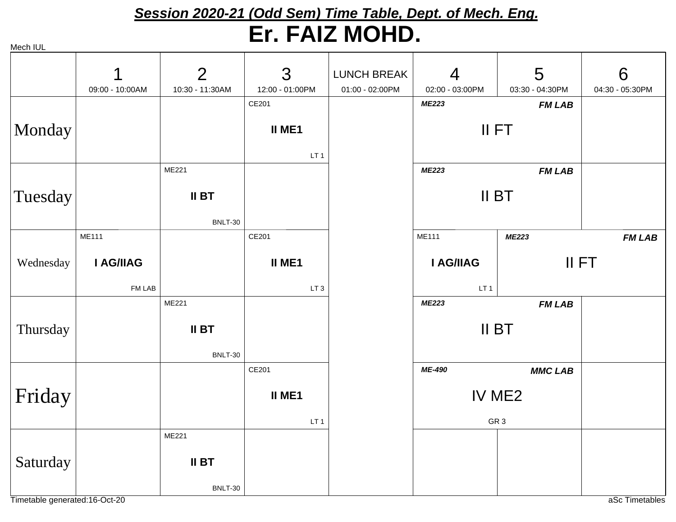# *Session 2020-21 (Odd Sem) Time Table, Dept. of Mech. Eng.* **Er. FAIZ MOHD.**

|           | 1               | $\overline{2}$          | 3               | <b>LUNCH BREAK</b> | $\overline{4}$  | 5               | 6               |
|-----------|-----------------|-------------------------|-----------------|--------------------|-----------------|-----------------|-----------------|
|           | 09:00 - 10:00AM | 10:30 - 11:30AM         | 12:00 - 01:00PM | 01:00 - 02:00PM    | 02:00 - 03:00PM | 03:30 - 04:30PM | 04:30 - 05:30PM |
|           |                 |                         | CE201           |                    | <b>ME223</b>    | <b>FM LAB</b>   |                 |
| Monday    |                 |                         | <b>II ME1</b>   |                    |                 | II FT           |                 |
|           |                 |                         | LT <sub>1</sub> |                    |                 |                 |                 |
|           |                 | ME221                   |                 |                    | <b>ME223</b>    | <b>FM LAB</b>   |                 |
| Tuesday   |                 | <b>II BT</b>            |                 |                    | II BT           |                 |                 |
|           |                 | <b>BNLT-30</b>          |                 |                    |                 |                 |                 |
|           | <b>ME111</b>    |                         | CE201           |                    | <b>ME111</b>    | <b>ME223</b>    | <b>FM LAB</b>   |
| Wednesday | I AG/IIAG       |                         | <b>II ME1</b>   |                    | I AG/IIAG       | II FT           |                 |
|           | FM LAB          |                         | LT <sub>3</sub> |                    | LT <sub>1</sub> |                 |                 |
|           |                 | ME221                   |                 |                    | <b>ME223</b>    | <b>FM LAB</b>   |                 |
| Thursday  |                 | <b>II BT</b><br>BNLT-30 |                 |                    | II BT           |                 |                 |
|           |                 |                         | CE201           |                    | ME-490          | <b>MMC LAB</b>  |                 |
| Friday    |                 |                         | <b>II ME1</b>   |                    | IV ME2          |                 |                 |
|           |                 |                         | LT <sub>1</sub> |                    | GR <sub>3</sub> |                 |                 |
|           |                 | ME221                   |                 |                    |                 |                 |                 |
| Saturday  |                 | <b>II BT</b>            |                 |                    |                 |                 |                 |
|           |                 | <b>BNLT-30</b>          |                 |                    |                 |                 |                 |

Timetable generated:16-Oct-20 and the control of the control of the control of the control of the control of the control of the control of the control of the control of the control of the control of the control of the cont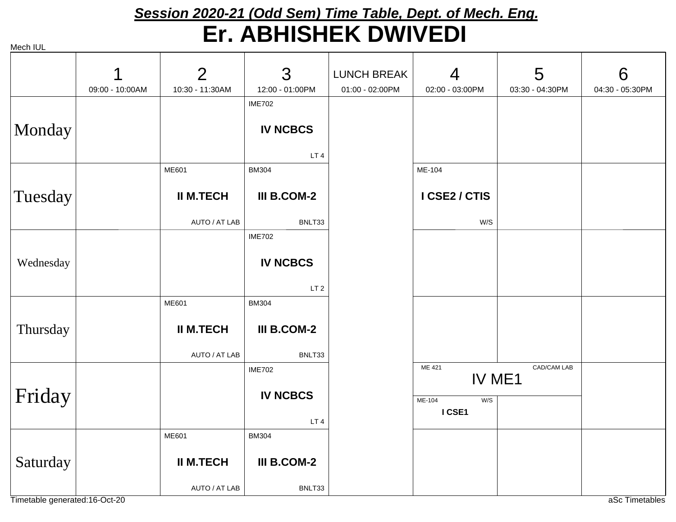### *Session 2020-21 (Odd Sem) Time Table, Dept. of Mech. Eng.* **Er. ABHISHEK DWIVEDI**

| . <b>. . . .</b> .            |                 |                  |                    |                 |                         |                 |                 |
|-------------------------------|-----------------|------------------|--------------------|-----------------|-------------------------|-----------------|-----------------|
|                               |                 | $\overline{2}$   | 3                  | LUNCH BREAK     | $\overline{4}$          | 5               | 6               |
|                               | 09:00 - 10:00AM | 10:30 - 11:30AM  | 12:00 - 01:00PM    | 01:00 - 02:00PM | 02:00 - 03:00PM         | 03:30 - 04:30PM | 04:30 - 05:30PM |
|                               |                 |                  | <b>IME702</b>      |                 |                         |                 |                 |
|                               |                 |                  |                    |                 |                         |                 |                 |
| Monday                        |                 |                  | <b>IV NCBCS</b>    |                 |                         |                 |                 |
|                               |                 |                  |                    |                 |                         |                 |                 |
|                               |                 |                  | LT4                |                 |                         |                 |                 |
|                               |                 | ME601            | <b>BM304</b>       |                 | ME-104                  |                 |                 |
| Tuesday                       |                 | <b>II M.TECH</b> | III B.COM-2        |                 | I CSE2 / CTIS           |                 |                 |
|                               |                 | AUTO / AT LAB    | BNLT33             |                 | W/S                     |                 |                 |
|                               |                 |                  | <b>IME702</b>      |                 |                         |                 |                 |
|                               |                 |                  |                    |                 |                         |                 |                 |
| Wednesday                     |                 |                  | <b>IV NCBCS</b>    |                 |                         |                 |                 |
|                               |                 |                  | LT <sub>2</sub>    |                 |                         |                 |                 |
|                               |                 | ME601            | <b>BM304</b>       |                 |                         |                 |                 |
|                               |                 |                  |                    |                 |                         |                 |                 |
| Thursday                      |                 | <b>II M.TECH</b> | <b>III B.COM-2</b> |                 |                         |                 |                 |
|                               |                 |                  |                    |                 |                         |                 |                 |
|                               |                 | AUTO / AT LAB    | BNLT33             |                 |                         |                 |                 |
|                               |                 |                  | <b>IME702</b>      |                 | ME 421<br>IV ME1        | CAD/CAM LAB     |                 |
| Friday                        |                 |                  | <b>IV NCBCS</b>    |                 |                         |                 |                 |
|                               |                 |                  |                    |                 | ME-104<br>W/S<br>I CSE1 |                 |                 |
|                               |                 |                  | LT <sub>4</sub>    |                 |                         |                 |                 |
|                               |                 | <b>ME601</b>     | <b>BM304</b>       |                 |                         |                 |                 |
| Saturday                      |                 | <b>II M.TECH</b> | III B.COM-2        |                 |                         |                 |                 |
|                               |                 |                  |                    |                 |                         |                 |                 |
|                               |                 | AUTO / AT LAB    | BNLT33             |                 |                         |                 |                 |
| Timetable generated:16-Oct-20 |                 |                  |                    |                 |                         |                 | aSc Timetables  |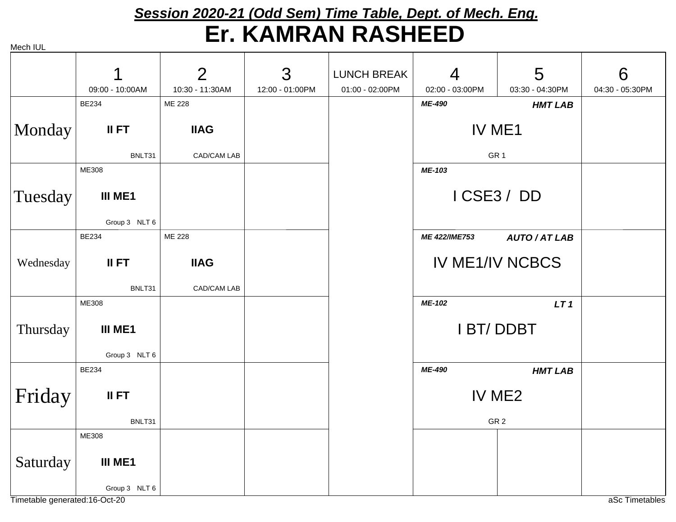#### *Session 2020-21 (Odd Sem) Time Table, Dept. of Mech. Eng.* **Er. KAMRAN RASHEED**

Mech IIII

| וטפטו וטב |                          |                 |                 |                    |                                    |                    |                 |
|-----------|--------------------------|-----------------|-----------------|--------------------|------------------------------------|--------------------|-----------------|
|           | 1                        | $\overline{2}$  | 3               | <b>LUNCH BREAK</b> | $\overline{4}$                     | 5                  | 6               |
|           | 09:00 - 10:00AM          | 10:30 - 11:30AM | 12:00 - 01:00PM | 01:00 - 02:00PM    | 02:00 - 03:00PM                    | 03:30 - 04:30PM    | 04:30 - 05:30PM |
|           | <b>BE234</b>             | ME 228          |                 |                    | ME-490                             | <b>HMT LAB</b>     |                 |
| Monday    | II FT                    | <b>IIAG</b>     |                 |                    | IV ME1                             |                    |                 |
|           | BNLT31                   | CAD/CAM LAB     |                 |                    | GR <sub>1</sub>                    |                    |                 |
|           | ME308                    |                 |                 |                    | ME-103                             |                    |                 |
| Tuesday   | III ME1                  |                 |                 |                    | ICSE3/DD                           |                    |                 |
|           | Group 3 NLT 6            |                 |                 |                    |                                    |                    |                 |
|           | <b>BE234</b>             | ME 228          |                 |                    | ME 422/IME753                      | <b>AUTO/AT LAB</b> |                 |
| Wednesday | II FT                    | <b>IIAG</b>     |                 |                    | <b>IV ME1/IV NCBCS</b>             |                    |                 |
|           | BNLT31                   | CAD/CAM LAB     |                 |                    |                                    |                    |                 |
|           | ME308                    |                 |                 |                    | ME-102                             | LT <sub>1</sub>    |                 |
| Thursday  | III ME1<br>Group 3 NLT 6 |                 |                 |                    | <b>IBT/DDBT</b>                    |                    |                 |
|           | <b>BE234</b>             |                 |                 |                    |                                    |                    |                 |
| Friday    | II FT                    |                 |                 |                    | ME-490<br><b>HMT LAB</b><br>IV ME2 |                    |                 |
|           | BNLT31                   |                 |                 |                    | GR <sub>2</sub>                    |                    |                 |
|           | ME308                    |                 |                 |                    |                                    |                    |                 |
| Saturday  | III ME1                  |                 |                 |                    |                                    |                    |                 |
|           | Group 3 NLT 6            |                 |                 |                    |                                    |                    |                 |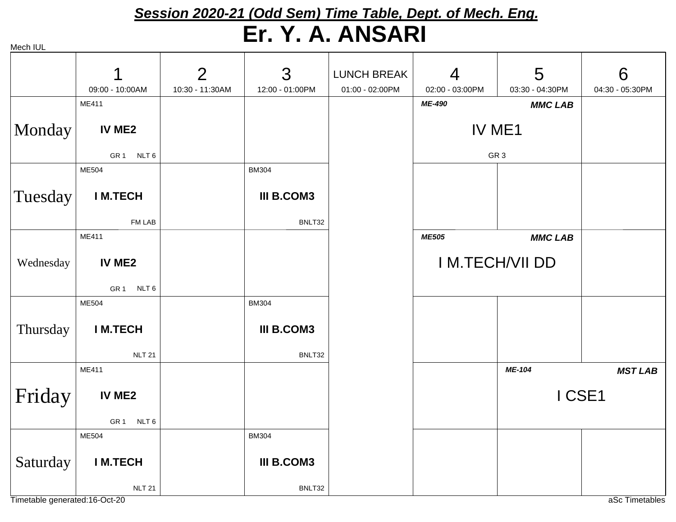### *Session 2020-21 (Odd Sem) Time Table, Dept. of Mech. Eng.* **Er. Y. A. ANSARI**

|           | 1                                   | 2               | 3                 | <b>LUNCH BREAK</b> | $\overline{4}$        | 5               | 6               |
|-----------|-------------------------------------|-----------------|-------------------|--------------------|-----------------------|-----------------|-----------------|
|           | 09:00 - 10:00AM                     | 10:30 - 11:30AM | 12:00 - 01:00PM   | 01:00 - 02:00PM    | 02:00 - 03:00PM       | 03:30 - 04:30PM | 04:30 - 05:30PM |
|           | ME411                               |                 |                   |                    | ME-490                | <b>MMC LAB</b>  |                 |
| Monday    | IV ME2                              |                 |                   |                    | IV ME1                |                 |                 |
|           | GR1 NLT6                            |                 |                   |                    |                       | GR <sub>3</sub> |                 |
|           | <b>ME504</b>                        |                 | <b>BM304</b>      |                    |                       |                 |                 |
| Tuesday   | <b>IM.TECH</b>                      |                 | <b>III B.COM3</b> |                    |                       |                 |                 |
|           | FM LAB                              |                 | BNLT32            |                    |                       |                 |                 |
|           | ME411                               |                 |                   |                    | <b>ME505</b>          | <b>MMC LAB</b>  |                 |
| Wednesday | IV ME2                              |                 |                   |                    | <b>IM.TECH/VII DD</b> |                 |                 |
|           | GR <sub>1</sub><br>NLT <sub>6</sub> |                 |                   |                    |                       |                 |                 |
|           | <b>ME504</b>                        |                 | <b>BM304</b>      |                    |                       |                 |                 |
| Thursday  | <b>IM.TECH</b>                      |                 | <b>III B.COM3</b> |                    |                       |                 |                 |
|           | <b>NLT 21</b>                       |                 | BNLT32            |                    |                       |                 |                 |
|           | ME411                               |                 |                   |                    |                       | ME-104          | <b>MST LAB</b>  |
| Friday    | IV ME2                              |                 |                   |                    |                       | I CSE1          |                 |
|           | GR <sub>1</sub><br>NLT <sub>6</sub> |                 |                   |                    |                       |                 |                 |
|           | ME504                               |                 | <b>BM304</b>      |                    |                       |                 |                 |
| Saturday  | <b>IM.TECH</b>                      |                 | <b>III B.COM3</b> |                    |                       |                 |                 |
|           | <b>NLT 21</b>                       |                 | BNLT32            |                    |                       |                 |                 |

Timetable generated:16-Oct-20 and the control of the control of the control of the control of the control of the control of the control of the control of the control of the control of the control of the control of the cont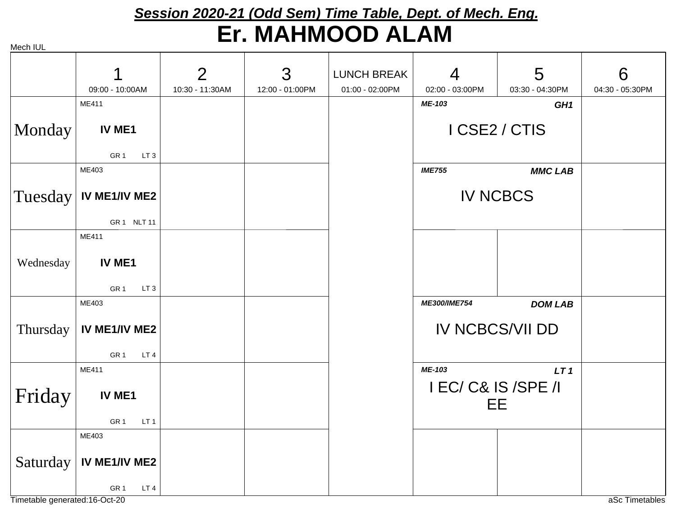# *Session 2020-21 (Odd Sem) Time Table, Dept. of Mech. Eng.* **Er. MAHMOOD ALAM**

Mech IUL

|           |                                    | $\overline{2}$  | 3               | <b>LUNCH BREAK</b> | $\overline{4}$         | 5               | 6               |
|-----------|------------------------------------|-----------------|-----------------|--------------------|------------------------|-----------------|-----------------|
|           | 09:00 - 10:00AM                    | 10:30 - 11:30AM | 12:00 - 01:00PM | 01:00 - 02:00PM    | 02:00 - 03:00PM        | 03:30 - 04:30PM | 04:30 - 05:30PM |
|           | ME411                              |                 |                 |                    | ME-103                 | GH <sub>1</sub> |                 |
|           |                                    |                 |                 |                    |                        |                 |                 |
| Monday    | IV ME1                             |                 |                 |                    | I CSE2 / CTIS          |                 |                 |
|           |                                    |                 |                 |                    |                        |                 |                 |
|           | GR <sub>1</sub><br>LT <sub>3</sub> |                 |                 |                    |                        |                 |                 |
|           | ME403                              |                 |                 |                    | <b>IME755</b>          | <b>MMC LAB</b>  |                 |
|           |                                    |                 |                 |                    |                        |                 |                 |
| Tuesday   | IV ME1/IV ME2                      |                 |                 |                    | <b>IV NCBCS</b>        |                 |                 |
|           |                                    |                 |                 |                    |                        |                 |                 |
|           | GR 1 NLT 11                        |                 |                 |                    |                        |                 |                 |
|           | ME411                              |                 |                 |                    |                        |                 |                 |
| Wednesday | IV ME1                             |                 |                 |                    |                        |                 |                 |
|           |                                    |                 |                 |                    |                        |                 |                 |
|           | GR <sub>1</sub><br>LT <sub>3</sub> |                 |                 |                    |                        |                 |                 |
|           | ME403                              |                 |                 |                    | ME300/IME754           | <b>DOM LAB</b>  |                 |
|           |                                    |                 |                 |                    |                        |                 |                 |
| Thursday  | IV ME1/IV ME2                      |                 |                 |                    | <b>IV NCBCS/VII DD</b> |                 |                 |
|           |                                    |                 |                 |                    |                        |                 |                 |
|           | GR <sub>1</sub><br>LT4             |                 |                 |                    |                        |                 |                 |
|           | ME411                              |                 |                 |                    | ME-103                 | LT <sub>1</sub> |                 |
|           |                                    |                 |                 |                    | I EC/ C& IS /SPE /I    |                 |                 |
| Friday    | IV ME1                             |                 |                 |                    | <b>EE</b>              |                 |                 |
|           |                                    |                 |                 |                    |                        |                 |                 |
|           | GR <sub>1</sub><br>LT <sub>1</sub> |                 |                 |                    |                        |                 |                 |
|           | ME403                              |                 |                 |                    |                        |                 |                 |
|           |                                    |                 |                 |                    |                        |                 |                 |
| Saturday  | IV ME1/IV ME2                      |                 |                 |                    |                        |                 |                 |
|           | LT4<br>GR <sub>1</sub>             |                 |                 |                    |                        |                 |                 |
|           |                                    |                 |                 |                    |                        |                 |                 |

Timetable generated:16-Oct-20 and the control of the control of the control of the control of the control of the control of the control of the control of the control of the control of the control of the control of the cont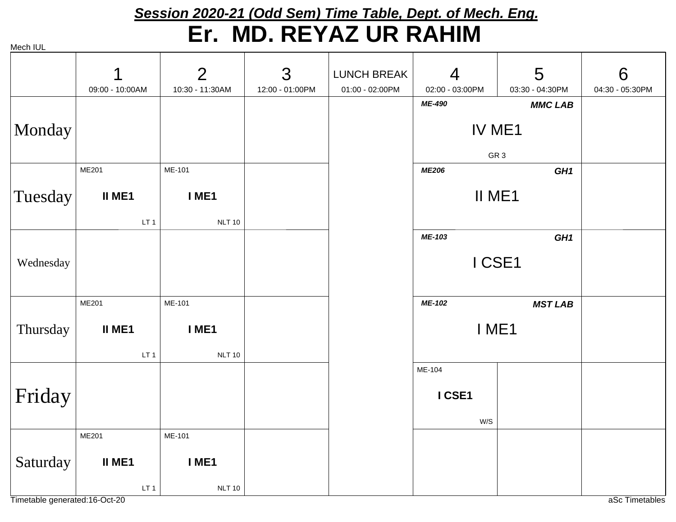# *Session 2020-21 (Odd Sem) Time Table, Dept. of Mech. Eng.* **Er. MD. REYAZ UR RAHIM**

|           | 1               | $\overline{2}$  | 3               | <b>LUNCH BREAK</b> | $\overline{4}$  | 5               | 6               |
|-----------|-----------------|-----------------|-----------------|--------------------|-----------------|-----------------|-----------------|
|           | 09:00 - 10:00AM | 10:30 - 11:30AM | 12:00 - 01:00PM | 01:00 - 02:00PM    | 02:00 - 03:00PM | 03:30 - 04:30PM | 04:30 - 05:30PM |
|           |                 |                 |                 |                    | ME-490          | <b>MMC LAB</b>  |                 |
| Monday    |                 |                 |                 |                    | IV ME1          |                 |                 |
|           |                 |                 |                 |                    | GR <sub>3</sub> |                 |                 |
|           | ME201           | ME-101          |                 |                    | <b>ME206</b>    | GH <sub>1</sub> |                 |
| Tuesday   | II ME1          | I ME1           |                 |                    | II ME1          |                 |                 |
|           | LT <sub>1</sub> | <b>NLT 10</b>   |                 |                    |                 |                 |                 |
|           |                 |                 |                 |                    | ME-103          | GH <sub>1</sub> |                 |
| Wednesday |                 |                 |                 |                    | I CSE1          |                 |                 |
|           |                 |                 |                 |                    |                 |                 |                 |
|           |                 |                 |                 |                    |                 |                 |                 |
|           | ME201           | ME-101          |                 |                    | ME-102          | <b>MST LAB</b>  |                 |
| Thursday  | II ME1          | I ME1           |                 |                    | I ME1           |                 |                 |
|           | LT <sub>1</sub> | <b>NLT 10</b>   |                 |                    |                 |                 |                 |
|           |                 |                 |                 |                    | ME-104          |                 |                 |
|           |                 |                 |                 |                    | I CSE1          |                 |                 |
| Friday    |                 |                 |                 |                    |                 |                 |                 |
|           |                 |                 |                 |                    | W/S             |                 |                 |
|           | ME201           | ME-101          |                 |                    |                 |                 |                 |
| Saturday  | II ME1          | I ME1           |                 |                    |                 |                 |                 |
|           | LT <sub>1</sub> | <b>NLT 10</b>   |                 |                    |                 |                 |                 |

Timetable generated:16-Oct-20 and the control of the control of the control of the control of the control of the control of the control of the control of the control of the control of the control of the control of the cont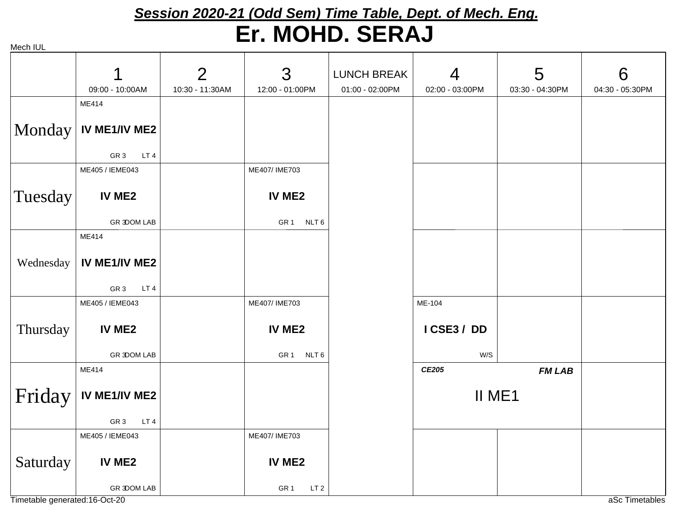### *Session 2020-21 (Odd Sem) Time Table, Dept. of Mech. Eng.* **Er. MOHD. SERAJ**

| Mech IUL |  |
|----------|--|
|          |  |

|           | 1<br>09:00 - 10:00AM               | $\overline{2}$<br>10:30 - 11:30AM | 3<br>12:00 - 01:00PM               | <b>LUNCH BREAK</b><br>01:00 - 02:00PM | $\overline{4}$<br>02:00 - 03:00PM | 5<br>03:30 - 04:30PM | 6<br>04:30 - 05:30PM |
|-----------|------------------------------------|-----------------------------------|------------------------------------|---------------------------------------|-----------------------------------|----------------------|----------------------|
|           | ME414                              |                                   |                                    |                                       |                                   |                      |                      |
|           | $Monday$ IV ME1/IV ME2             |                                   |                                    |                                       |                                   |                      |                      |
|           | GR <sub>3</sub><br>LT4             |                                   |                                    |                                       |                                   |                      |                      |
|           | ME405 / IEME043                    |                                   | ME407/IME703                       |                                       |                                   |                      |                      |
| Tuesday   | IV ME2                             |                                   | IV ME2                             |                                       |                                   |                      |                      |
|           | <b>GR 3DOM LAB</b>                 |                                   | GR1 NLT6                           |                                       |                                   |                      |                      |
|           | ME414                              |                                   |                                    |                                       |                                   |                      |                      |
| Wednesday | IV ME1/IV ME2                      |                                   |                                    |                                       |                                   |                      |                      |
|           | GR <sub>3</sub><br>LT <sub>4</sub> |                                   |                                    |                                       |                                   |                      |                      |
|           | ME405 / IEME043                    |                                   | ME407/IME703                       |                                       | ME-104                            |                      |                      |
| Thursday  | IV ME2                             |                                   | IV ME2                             |                                       | ICSE3/DD                          |                      |                      |
|           | <b>GR 3DOM LAB</b>                 |                                   | GR <sub>1</sub> NLT 6              |                                       | W/S                               |                      |                      |
|           | ME414                              |                                   |                                    |                                       | CE205                             | <b>FM LAB</b>        |                      |
| Friday    | IV ME1/IV ME2                      |                                   |                                    |                                       | II ME1                            |                      |                      |
|           | LT4<br>GR <sub>3</sub>             |                                   |                                    |                                       |                                   |                      |                      |
|           | ME405 / IEME043                    |                                   | ME407/IME703                       |                                       |                                   |                      |                      |
| Saturday  | IV ME2                             |                                   | IV ME2                             |                                       |                                   |                      |                      |
|           | <b>GR 3DOM LAB</b>                 |                                   | GR <sub>1</sub><br>LT <sub>2</sub> |                                       |                                   |                      |                      |

Timetable generated:16-Oct-20 and the control of the control of the control of the control of the control of the control of the control of the control of the control of the control of the control of the control of the cont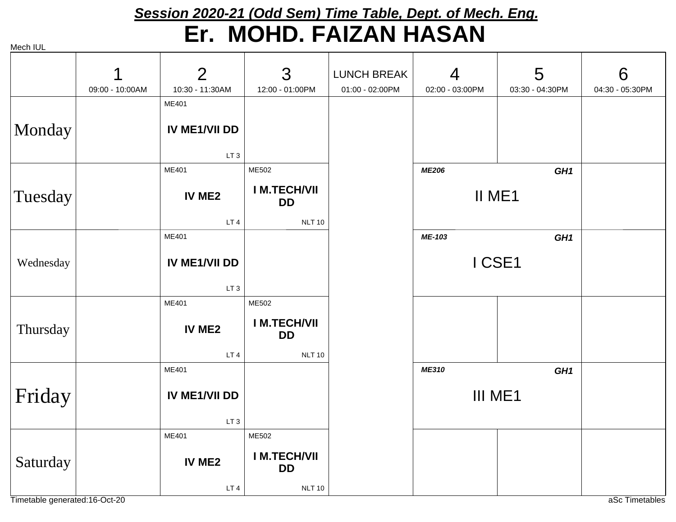#### *Session 2020-21 (Odd Sem) Time Table, Dept. of Mech. Eng.* **Er. MOHD. FAIZAN HASAN**

Mech IUL

|           | 1<br>09:00 - 10:00AM | $\overline{2}$<br>10:30 - 11:30AM | 3<br>12:00 - 01:00PM            | <b>LUNCH BREAK</b><br>01:00 - 02:00PM | $\overline{4}$<br>02:00 - 03:00PM | 5<br>03:30 - 04:30PM | 6<br>04:30 - 05:30PM |
|-----------|----------------------|-----------------------------------|---------------------------------|---------------------------------------|-----------------------------------|----------------------|----------------------|
|           |                      | ME401                             |                                 |                                       |                                   |                      |                      |
| Monday    |                      | IV ME1/VII DD                     |                                 |                                       |                                   |                      |                      |
|           |                      | LT <sub>3</sub>                   |                                 |                                       |                                   |                      |                      |
|           |                      | ME401                             | ME502                           |                                       | <b>ME206</b>                      | GH <sub>1</sub>      |                      |
| Tuesday   |                      | <b>IV ME2</b>                     | <b>IM.TECH/VII</b><br><b>DD</b> |                                       | II ME1                            |                      |                      |
|           |                      | LT <sub>4</sub>                   | <b>NLT 10</b>                   |                                       |                                   |                      |                      |
|           |                      | ME401                             |                                 |                                       | ME-103                            | GH <sub>1</sub>      |                      |
| Wednesday |                      | <b>IV ME1/VII DD</b>              |                                 |                                       | I CSE1                            |                      |                      |
|           |                      | LT <sub>3</sub>                   |                                 |                                       |                                   |                      |                      |
|           |                      | ME401                             | ME502                           |                                       |                                   |                      |                      |
| Thursday  |                      | IV ME2                            | <b>IM.TECH/VII</b><br><b>DD</b> |                                       |                                   |                      |                      |
|           |                      | LT4                               | <b>NLT 10</b>                   |                                       |                                   |                      |                      |
|           |                      | ME401                             |                                 |                                       | ME310                             | GH <sub>1</sub>      |                      |
| Friday    |                      | <b>IV ME1/VII DD</b>              |                                 |                                       | III ME1                           |                      |                      |
|           |                      | LT <sub>3</sub>                   |                                 |                                       |                                   |                      |                      |
|           |                      | ME401                             | ME502                           |                                       |                                   |                      |                      |
| Saturday  |                      | IV ME2                            | <b>IM.TECH/VII</b><br><b>DD</b> |                                       |                                   |                      |                      |
|           |                      | LT4                               | <b>NLT 10</b>                   |                                       |                                   |                      |                      |

Timetable generated:16-Oct-20 and the context of the context of the context of the context of the context of the context of the context of the context of the context of the context of the context of the context of the cont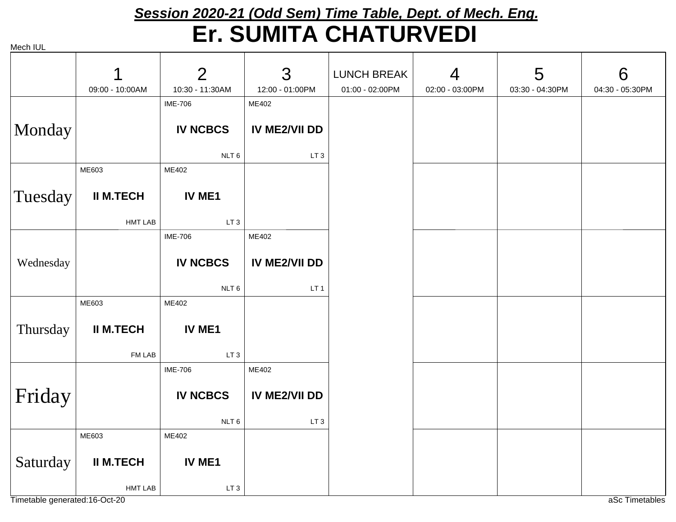# *Session 2020-21 (Odd Sem) Time Table, Dept. of Mech. Eng.* **Er. SUMITA CHATURVEDI**

|           | 1                | $\overline{2}$   | 3                    | <b>LUNCH BREAK</b> | $\overline{4}$  | 5               | 6               |
|-----------|------------------|------------------|----------------------|--------------------|-----------------|-----------------|-----------------|
|           | 09:00 - 10:00AM  | 10:30 - 11:30AM  | 12:00 - 01:00PM      | 01:00 - 02:00PM    | 02:00 - 03:00PM | 03:30 - 04:30PM | 04:30 - 05:30PM |
|           |                  | <b>IME-706</b>   | ME402                |                    |                 |                 |                 |
|           |                  |                  |                      |                    |                 |                 |                 |
| Monday    |                  | <b>IV NCBCS</b>  | <b>IV ME2/VII DD</b> |                    |                 |                 |                 |
|           |                  | NLT <sub>6</sub> | LT <sub>3</sub>      |                    |                 |                 |                 |
|           | ME603            | ME402            |                      |                    |                 |                 |                 |
|           |                  |                  |                      |                    |                 |                 |                 |
| Tuesday   | <b>II M.TECH</b> | IV ME1           |                      |                    |                 |                 |                 |
|           | <b>HMT LAB</b>   | LT <sub>3</sub>  |                      |                    |                 |                 |                 |
|           |                  | <b>IME-706</b>   | ME402                |                    |                 |                 |                 |
|           |                  |                  |                      |                    |                 |                 |                 |
| Wednesday |                  | <b>IV NCBCS</b>  | <b>IV ME2/VII DD</b> |                    |                 |                 |                 |
|           |                  |                  |                      |                    |                 |                 |                 |
|           |                  | NLT <sub>6</sub> | LT <sub>1</sub>      |                    |                 |                 |                 |
|           | ME603            | ME402            |                      |                    |                 |                 |                 |
|           |                  |                  |                      |                    |                 |                 |                 |
| Thursday  | <b>II M.TECH</b> | IV ME1           |                      |                    |                 |                 |                 |
|           |                  |                  |                      |                    |                 |                 |                 |
|           | FM LAB           | LT <sub>3</sub>  |                      |                    |                 |                 |                 |
|           |                  | <b>IME-706</b>   | ME402                |                    |                 |                 |                 |
|           |                  |                  |                      |                    |                 |                 |                 |
| Friday    |                  | <b>IV NCBCS</b>  | IV ME2/VII DD        |                    |                 |                 |                 |
|           |                  | NLT 6            | LT <sub>3</sub>      |                    |                 |                 |                 |
|           | ME603            | ME402            |                      |                    |                 |                 |                 |
|           |                  |                  |                      |                    |                 |                 |                 |
| Saturday  | <b>II M.TECH</b> | IV ME1           |                      |                    |                 |                 |                 |
|           | <b>HMT LAB</b>   | LT <sub>3</sub>  |                      |                    |                 |                 |                 |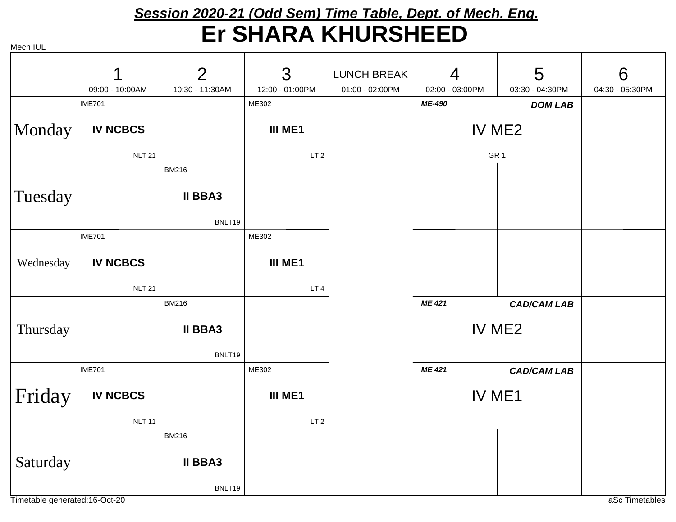#### *Session 2020-21 (Odd Sem) Time Table, Dept. of Mech. Eng.* **Er SHARA KHURSHEED**

Mech IUL

|           | 1               | $\overline{2}$  | 3               | <b>LUNCH BREAK</b> | $\overline{4}$  | 5                  | 6               |
|-----------|-----------------|-----------------|-----------------|--------------------|-----------------|--------------------|-----------------|
|           | 09:00 - 10:00AM | 10:30 - 11:30AM | 12:00 - 01:00PM | 01:00 - 02:00PM    | 02:00 - 03:00PM | 03:30 - 04:30PM    | 04:30 - 05:30PM |
|           | <b>IME701</b>   |                 | ME302           |                    | ME-490          | <b>DOM LAB</b>     |                 |
| Monday    | <b>IV NCBCS</b> |                 | III ME1         |                    | IV ME2          |                    |                 |
|           | <b>NLT 21</b>   |                 | LT <sub>2</sub> |                    | GR <sub>1</sub> |                    |                 |
|           |                 | <b>BM216</b>    |                 |                    |                 |                    |                 |
| Tuesday   |                 | <b>II BBA3</b>  |                 |                    |                 |                    |                 |
|           |                 | BNLT19          |                 |                    |                 |                    |                 |
|           | <b>IME701</b>   |                 | ME302           |                    |                 |                    |                 |
| Wednesday | <b>IV NCBCS</b> |                 | III ME1         |                    |                 |                    |                 |
|           | <b>NLT 21</b>   |                 | LT <sub>4</sub> |                    |                 |                    |                 |
|           |                 | <b>BM216</b>    |                 |                    | <b>ME 421</b>   | <b>CAD/CAM LAB</b> |                 |
|           |                 | <b>II BBA3</b>  |                 |                    | IV ME2          |                    |                 |
| Thursday  |                 |                 |                 |                    |                 |                    |                 |
|           |                 | BNLT19          |                 |                    |                 |                    |                 |
|           | <b>IME701</b>   |                 | ME302           |                    | ME 421          | <b>CAD/CAM LAB</b> |                 |
| Friday    | <b>IV NCBCS</b> |                 | III ME1         |                    | IV ME1          |                    |                 |
|           | <b>NLT 11</b>   |                 | LT <sub>2</sub> |                    |                 |                    |                 |
|           |                 | <b>BM216</b>    |                 |                    |                 |                    |                 |
| Saturday  |                 | <b>II BBA3</b>  |                 |                    |                 |                    |                 |
|           |                 | BNLT19          |                 |                    |                 |                    |                 |

Timetable generated:16-Oct-20 and the context of the context of the context of the context of the context of the context of the context of the context of the context of the context of the context of the context of the cont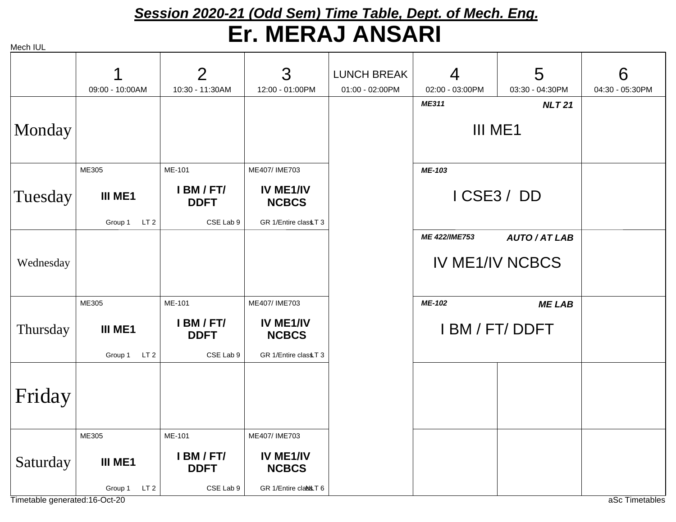## *Session 2020-21 (Odd Sem) Time Table, Dept. of Mech. Eng.* **Er. MERAJ ANSARI**

|           |                            | $\overline{2}$                         | 3                                                 | <b>LUNCH BREAK</b> | 4               | 5                      | 6               |
|-----------|----------------------------|----------------------------------------|---------------------------------------------------|--------------------|-----------------|------------------------|-----------------|
|           | 09:00 - 10:00AM            | 10:30 - 11:30AM                        | 12:00 - 01:00PM                                   | 01:00 - 02:00PM    | 02:00 - 03:00PM | 03:30 - 04:30PM        | 04:30 - 05:30PM |
|           |                            |                                        |                                                   |                    | <b>ME311</b>    | <b>NLT21</b>           |                 |
| Monday    |                            |                                        |                                                   |                    | III ME1         |                        |                 |
|           | ME305                      | ME-101                                 | ME407/IME703                                      |                    | ME-103          |                        |                 |
| Tuesday   | III ME1                    | I BM / FT/<br><b>DDFT</b>              | IV ME1/IV<br><b>NCBCS</b>                         |                    | ICSE3/DD        |                        |                 |
|           | LT <sub>2</sub><br>Group 1 | CSE Lab 9                              | GR 1/Entire classT 3                              |                    |                 |                        |                 |
|           |                            |                                        |                                                   |                    | ME 422/IME753   | <b>AUTO/AT LAB</b>     |                 |
| Wednesday |                            |                                        |                                                   |                    |                 | <b>IV ME1/IV NCBCS</b> |                 |
|           | ME305                      | ME-101                                 | ME407/IME703                                      |                    | ME-102          | <b>MELAB</b>           |                 |
| Thursday  | III ME1                    | I BM / FT/<br><b>DDFT</b><br>CSE Lab 9 | IV ME1/IV<br><b>NCBCS</b><br>GR 1/Entire classT 3 |                    | I BM / FT/ DDFT |                        |                 |
|           | Group 1<br>LT <sub>2</sub> |                                        |                                                   |                    |                 |                        |                 |
| Friday    |                            |                                        |                                                   |                    |                 |                        |                 |
|           | ME305                      | ME-101                                 | ME407/IME703                                      |                    |                 |                        |                 |
| Saturday  | <b>III ME1</b>             | I BM / FT/<br><b>DDFT</b>              | IV ME1/IV<br><b>NCBCS</b>                         |                    |                 |                        |                 |
|           | LT <sub>2</sub><br>Group 1 | CSE Lab 9                              | GR 1/Entire class T 6                             |                    |                 |                        |                 |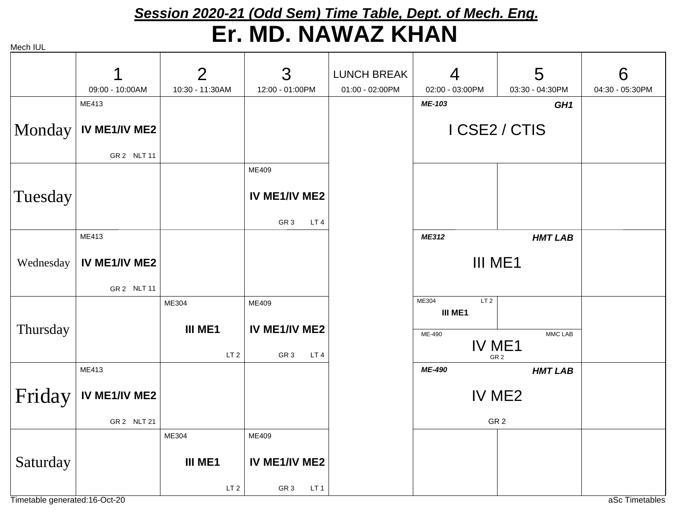# *Session 2020-21 (Odd Sem) Time Table, Dept. of Mech. Eng.* **Er. MD. NAWAZ KHAN**

Mech IUL

|           | 1                      | $\overline{2}$  | 3                                  | <b>LUNCH BREAK</b> | $\overline{4}$                      | 5                         | 6               |
|-----------|------------------------|-----------------|------------------------------------|--------------------|-------------------------------------|---------------------------|-----------------|
|           | 09:00 - 10:00AM        | 10:30 - 11:30AM | 12:00 - 01:00PM                    | 01:00 - 02:00PM    | 02:00 - 03:00PM                     | 03:30 - 04:30PM           | 04:30 - 05:30PM |
|           | ME413                  |                 |                                    |                    | ME-103                              | GH <sub>1</sub>           |                 |
|           | Monday   IV ME1/IV ME2 |                 |                                    |                    |                                     | I CSE2 / CTIS             |                 |
|           | GR 2 NLT 11            |                 |                                    |                    |                                     |                           |                 |
|           |                        |                 | ME409                              |                    |                                     |                           |                 |
| Tuesday   |                        |                 | IV ME1/IV ME2                      |                    |                                     |                           |                 |
|           |                        |                 | GR <sub>3</sub><br>LT <sub>4</sub> |                    |                                     |                           |                 |
|           | ME413                  |                 |                                    |                    | ME312                               | <b>HMT LAB</b>            |                 |
| Wednesday | IV ME1/IV ME2          |                 |                                    |                    | III ME1                             |                           |                 |
|           | GR 2 NLT 11            |                 |                                    |                    |                                     |                           |                 |
|           |                        | ME304           | ME409                              |                    | ME304<br>LT <sub>2</sub><br>III ME1 |                           |                 |
| Thursday  |                        | III ME1         | IV ME1/IV ME2                      |                    | ME-490                              | MMC LAB                   |                 |
|           |                        | LT <sub>2</sub> | GR <sub>3</sub><br>LT <sub>4</sub> |                    |                                     | IV ME1<br>GR <sub>2</sub> |                 |
|           | ME413                  |                 |                                    |                    | <b>ME-490</b>                       | <b>HMT LAB</b>            |                 |
| Friday    | IV ME1/IV ME2          |                 |                                    |                    |                                     | IV ME2                    |                 |
|           | GR 2 NLT 21            |                 |                                    |                    |                                     | GR <sub>2</sub>           |                 |
|           |                        | ME304           | ME409                              |                    |                                     |                           |                 |
| Saturday  |                        | III ME1         | IV ME1/IV ME2                      |                    |                                     |                           |                 |
|           |                        | LT <sub>2</sub> | GR <sub>3</sub><br>LT <sub>1</sub> |                    |                                     |                           |                 |

Timetable generated:16-Oct-20 and the context of the context of the context of the context of the context of the context of the context of the context of the context of the context of the context of the context of the cont